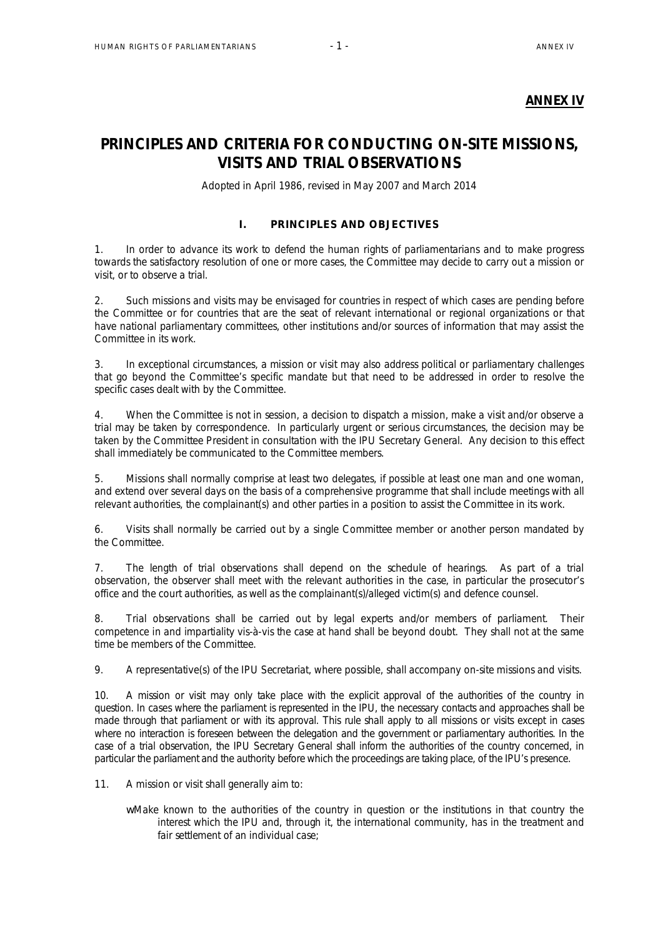# **ANNEX IV**

# **PRINCIPLES AND CRITERIA FOR CONDUCTING ON-SITE MISSIONS, VISITS AND TRIAL OBSERVATIONS**

*Adopted in April 1986, revised in May 2007 and March 2014*

# I. PRINCIPLES AND OBJECTIVES

1. In order to advance its work to defend the human rights of parliamentarians and to make progress towards the satisfactory resolution of one or more cases, the Committee may decide to carry out a mission or visit, or to observe a trial.

2. Such missions and visits may be envisaged for countries in respect of which cases are pending before the Committee or for countries that are the seat of relevant international or regional organizations or that have national parliamentary committees, other institutions and/or sources of information that may assist the Committee in its work.

3. In exceptional circumstances, a mission or visit may also address political or parliamentary challenges that go beyond the Committee's specific mandate but that need to be addressed in order to resolve the specific cases dealt with by the Committee.

4. When the Committee is not in session, a decision to dispatch a mission, make a visit and/or observe a trial may be taken by correspondence. In particularly urgent or serious circumstances, the decision may be taken by the Committee President in consultation with the IPU Secretary General. Any decision to this effect shall immediately be communicated to the Committee members.

5. Missions shall normally comprise at least two delegates, if possible at least one man and one woman, and extend over several days on the basis of a comprehensive programme that shall include meetings with all relevant authorities, the complainant(s) and other parties in a position to assist the Committee in its work.

6. Visits shall normally be carried out by a single Committee member or another person mandated by the Committee.

7. The length of trial observations shall depend on the schedule of hearings. As part of a trial observation, the observer shall meet with the relevant authorities in the case, in particular the prosecutor's office and the court authorities, as well as the complainant(s)/alleged victim(s) and defence counsel.

8. Trial observations shall be carried out by legal experts and/or members of parliament. Their competence in and impartiality vis-à-vis the case at hand shall be beyond doubt. They shall not at the same time be members of the Committee.

9. A representative(s) of the IPU Secretariat, where possible, shall accompany on-site missions and visits.

10. A mission or visit may only take place with the explicit approval of the authorities of the country in question. In cases where the parliament is represented in the IPU, the necessary contacts and approaches shall be made through that parliament or with its approval. This rule shall apply to all missions or visits except in cases where no interaction is foreseen between the delegation and the government or parliamentary authorities. In the case of a trial observation, the IPU Secretary General shall inform the authorities of the country concerned, in particular the parliament and the authority before which the proceedings are taking place, of the IPU's presence.

- 11. A mission or visit shall generally aim to:
	- w Make known to the authorities of the country in question or the institutions in that country the interest which the IPU and, through it, the international community, has in the treatment and fair settlement of an individual case: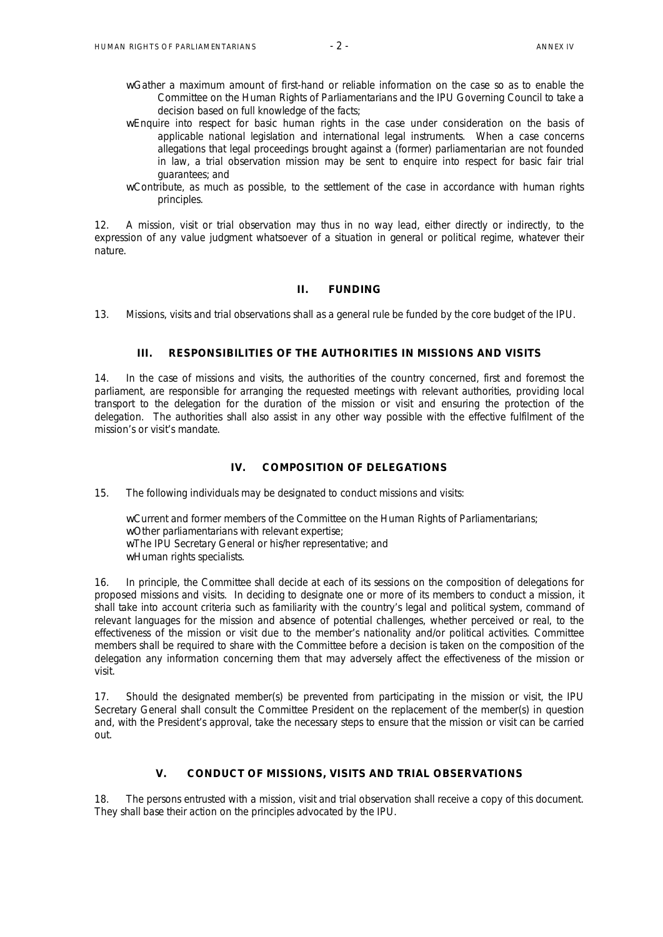- wGather a maximum amount of first-hand or reliable information on the case so as to enable the Committee on the Human Rights of Parliamentarians and the IPU Governing Council to take a decision based on full knowledge of the facts;
- wEnquire into respect for basic human rights in the case under consideration on the basis of applicable national legislation and international legal instruments. When a case concerns allegations that legal proceedings brought against a (former) parliamentarian are not founded in law, a trial observation mission may be sent to enquire into respect for basic fair trial guarantees; and
- wContribute, as much as possible, to the settlement of the case in accordance with human rights principles.

12. A mission, visit or trial observation may thus in no way lead, either directly or indirectly, to the expression of any value judgment whatsoever of a situation in general or political regime, whatever their nature.

#### II. FUNDING

13. Missions, visits and trial observations shall as a general rule be funded by the core budget of the IPU.

## III. RESPONSIBILITIES OF THE AUTHORITIES IN MISSIONS AND VISITS

14. In the case of missions and visits, the authorities of the country concerned, first and foremost the parliament, are responsible for arranging the requested meetings with relevant authorities, providing local transport to the delegation for the duration of the mission or visit and ensuring the protection of the delegation. The authorities shall also assist in any other way possible with the effective fulfilment of the mission's or visit's mandate.

# IV. COMPOSITION OF DELEGATIONS

15. The following individuals may be designated to conduct missions and visits:

wCurrent and former members of the Committee on the Human Rights of Parliamentarians;

- wOther parliamentarians with relevant expertise;
- wThe IPU Secretary General or his/her representative; and
- wHuman rights specialists.

16. In principle, the Committee shall decide at each of its sessions on the composition of delegations for proposed missions and visits. In deciding to designate one or more of its members to conduct a mission, it shall take into account criteria such as familiarity with the country's legal and political system, command of relevant languages for the mission and absence of potential challenges, whether perceived or real, to the effectiveness of the mission or visit due to the member's nationality and/or political activities. Committee members shall be required to share with the Committee before a decision is taken on the composition of the delegation any information concerning them that may adversely affect the effectiveness of the mission or visit.

17. Should the designated member(s) be prevented from participating in the mission or visit, the IPU Secretary General shall consult the Committee President on the replacement of the member(s) in question and, with the President's approval, take the necessary steps to ensure that the mission or visit can be carried out.

### V. CONDUCT OF MISSIONS, VISITS AND TRIAL OBSERVATIONS

18. The persons entrusted with a mission, visit and trial observation shall receive a copy of this document. They shall base their action on the principles advocated by the IPU.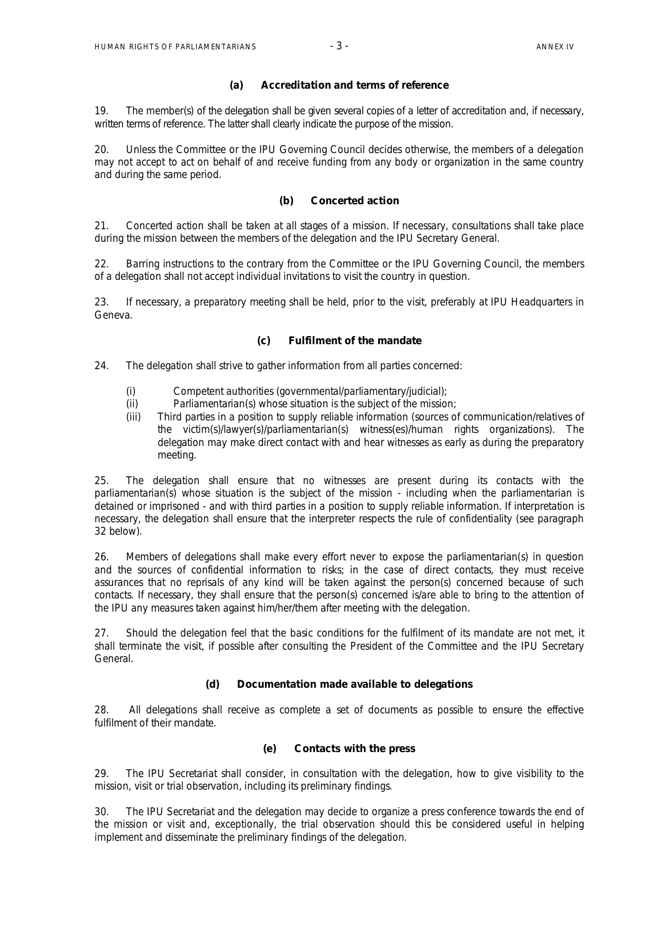#### (a) Accreditation and terms of reference

19. The member(s) of the delegation shall be given several copies of a letter of accreditation and, if necessary, written terms of reference. The latter shall clearly indicate the purpose of the mission.

20. Unless the Committee or the IPU Governing Council decides otherwise, the members of a delegation may not accept to act on behalf of and receive funding from any body or organization in the same country and during the same period.

# (b) Concerted action

21. Concerted action shall be taken at all stages of a mission. If necessary, consultations shall take place during the mission between the members of the delegation and the IPU Secretary General.

22. Barring instructions to the contrary from the Committee or the IPU Governing Council, the members of a delegation shall not accept individual invitations to visit the country in question.

23. If necessary, a preparatory meeting shall be held, prior to the visit, preferably at IPU Headquarters in Geneva.

# (c) Fulfilment of the mandate

24. The delegation shall strive to gather information from all parties concerned:

- (i) Competent authorities (governmental/parliamentary/judicial);
- (ii) Parliamentarian(s) whose situation is the subject of the mission;
- (iii) Third parties in a position to supply reliable information (sources of communication/relatives of the victim(s)/lawyer(s)/parliamentarian(s) witness(es)/human rights organizations). The delegation may make direct contact with and hear witnesses as early as during the preparatory meeting.

25. The delegation shall ensure that no witnesses are present during its contacts with the parliamentarian(s) whose situation is the subject of the mission - including when the parliamentarian is detained or imprisoned - and with third parties in a position to supply reliable information. If interpretation is necessary, the delegation shall ensure that the interpreter respects the rule of confidentiality (see paragraph 32 below).

26. Members of delegations shall make every effort never to expose the parliamentarian(s) in question and the sources of confidential information to risks; in the case of direct contacts, they must receive assurances that no reprisals of any kind will be taken against the person(s) concerned because of such contacts. If necessary, they shall ensure that the person(s) concerned is/are able to bring to the attention of the IPU any measures taken against him/her/them after meeting with the delegation.

27. Should the delegation feel that the basic conditions for the fulfilment of its mandate are not met, it shall terminate the visit, if possible after consulting the President of the Committee and the IPU Secretary General.

# (d) Documentation made available to delegations

28. All delegations shall receive as complete a set of documents as possible to ensure the effective fulfilment of their mandate.

#### (e) Contacts with the press

29. The IPU Secretariat shall consider, in consultation with the delegation, how to give visibility to the mission, visit or trial observation, including its preliminary findings.

30. The IPU Secretariat and the delegation may decide to organize a press conference towards the end of the mission or visit and, exceptionally, the trial observation should this be considered useful in helping implement and disseminate the preliminary findings of the delegation.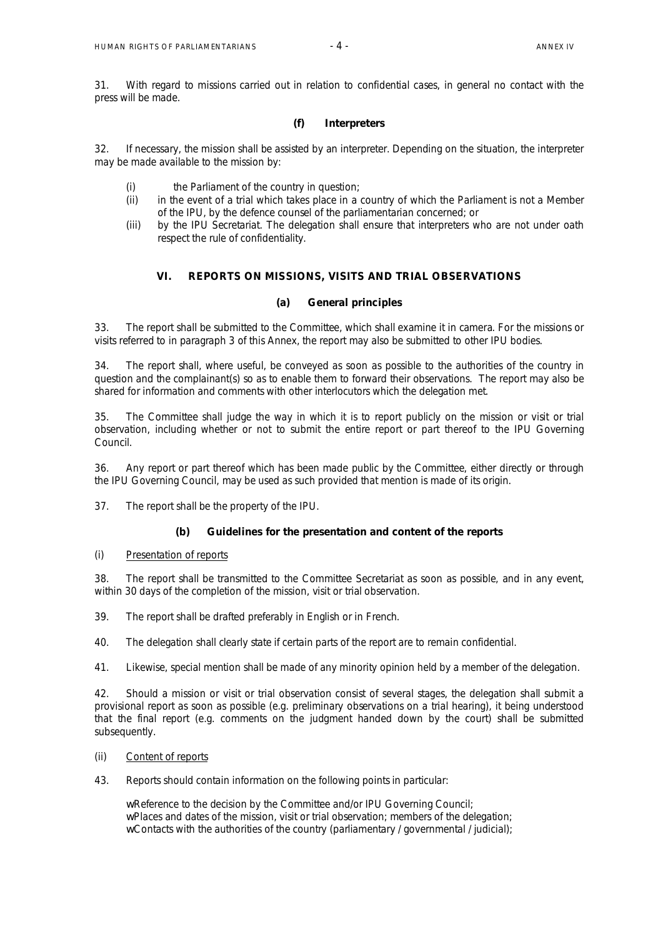31. With regard to missions carried out in relation to confidential cases, in general no contact with the press will be made.

# (f) Interpreters

32. If necessary, the mission shall be assisted by an interpreter. Depending on the situation, the interpreter may be made available to the mission by:

- (i) the Parliament of the country in question;
- (ii) in the event of a trial which takes place in a country of which the Parliament is not a Member of the IPU, by the defence counsel of the parliamentarian concerned; or
- (iii) by the IPU Secretariat. The delegation shall ensure that interpreters who are not under oath respect the rule of confidentiality.

# VI. REPORTS ON MISSIONS, VISITS AND TRIAL OBSERVATIONS

#### (a) General principles

33. The report shall be submitted to the Committee, which shall examine it *in camera*. For the missions or visits referred to in paragraph 3 of this Annex, the report may also be submitted to other IPU bodies.

34. The report shall, where useful, be conveyed as soon as possible to the authorities of the country in question and the complainant(s) so as to enable them to forward their observations. The report may also be shared for information and comments with other interlocutors which the delegation met.

35. The Committee shall judge the way in which it is to report publicly on the mission or visit or trial observation, including whether or not to submit the entire report or part thereof to the IPU Governing Council.

36. Any report or part thereof which has been made public by the Committee, either directly or through the IPU Governing Council, may be used as such provided that mention is made of its origin.

37. The report shall be the property of the IPU.

# (b) Guidelines for the presentation and content of the reports

#### (i) Presentation of reports

38. The report shall be transmitted to the Committee Secretariat as soon as possible, and in any event, within 30 days of the completion of the mission, visit or trial observation.

39. The report shall be drafted preferably in English or in French.

40. The delegation shall clearly state if certain parts of the report are to remain confidential.

41. Likewise, special mention shall be made of any minority opinion held by a member of the delegation.

42. Should a mission or visit or trial observation consist of several stages, the delegation shall submit a provisional report as soon as possible (e.g. preliminary observations on a trial hearing), it being understood that the final report (e.g. comments on the judgment handed down by the court) shall be submitted subsequently.

#### (ii) Content of reports

43. Reports should contain information on the following points in particular:

wReference to the decision by the Committee and/or IPU Governing Council;

wPlaces and dates of the mission, visit or trial observation; members of the delegation;

 $$